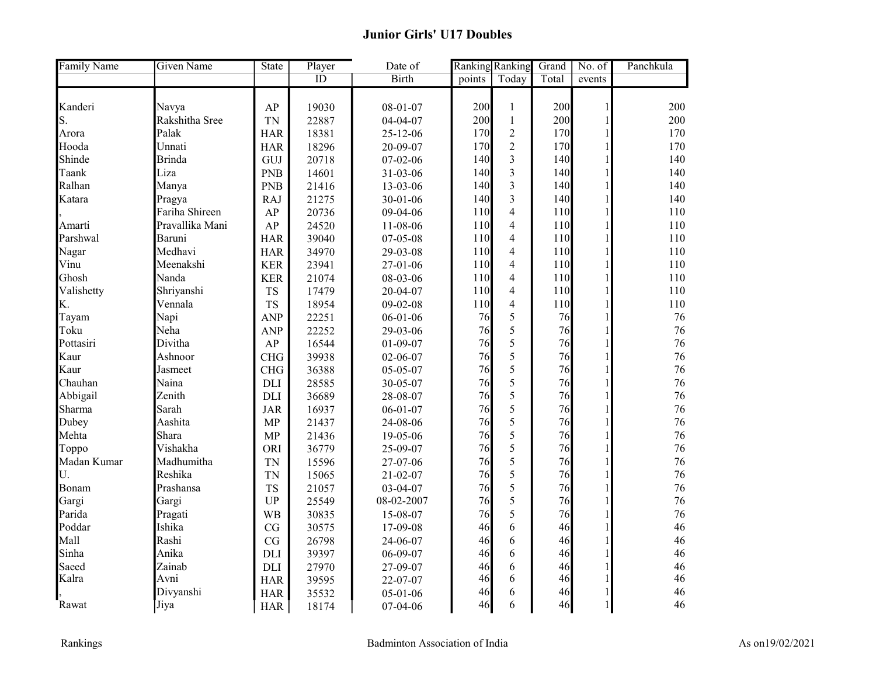| <b>Family Name</b> | <b>Given Name</b> | <b>State</b> | Player | Date of        | Ranking Ranking |                         | Grand | No. of        | Panchkula |
|--------------------|-------------------|--------------|--------|----------------|-----------------|-------------------------|-------|---------------|-----------|
|                    |                   |              | ID     | <b>Birth</b>   | points          | Today                   | Total | events        |           |
|                    |                   |              |        |                |                 |                         |       |               |           |
| Kanderi            | Navya             | AP           | 19030  | $08 - 01 - 07$ | 200             | $\mathbf{1}$            | 200   | $\mathbf{1}$  | 200       |
| S.                 | Rakshitha Sree    | <b>TN</b>    | 22887  | 04-04-07       | 200             | $\mathbf{1}$            | 200   | $\mathbf{1}$  | 200       |
| Arora              | Palak             | <b>HAR</b>   | 18381  | 25-12-06       | 170             | $\overline{2}$          | 170   | $\mathbf{1}$  | 170       |
| Hooda              | Unnati            | <b>HAR</b>   | 18296  | 20-09-07       | 170             | $\overline{2}$          | 170   | $\mathbf{1}$  | 170       |
| Shinde             | Brinda            | GUJ          | 20718  | 07-02-06       | 140             | $\overline{3}$          | 140   |               | 140       |
| Taank              | Liza              | <b>PNB</b>   | 14601  | 31-03-06       | 140             | $\overline{\mathbf{3}}$ | 140   | $\mathbf{1}$  | 140       |
| Ralhan             | Manya             | <b>PNB</b>   | 21416  | 13-03-06       | 140             | $\overline{3}$          | 140   | 1             | 140       |
| Katara             | Pragya            | <b>RAJ</b>   | 21275  | 30-01-06       | 140             | $\overline{3}$          | 140   | $\mathbf{1}$  | 140       |
|                    | Fariha Shireen    | AP           | 20736  | 09-04-06       | 110             | $\overline{4}$          | 110   | 1             | 110       |
| Amarti             | Pravallika Mani   | AP           | 24520  | 11-08-06       | 110             | $\overline{4}$          | 110   | 1             | 110       |
| Parshwal           | Baruni            | <b>HAR</b>   | 39040  | 07-05-08       | 110             | $\overline{4}$          | 110   | $\mathbf{1}$  | 110       |
| Nagar              | Medhavi           | <b>HAR</b>   | 34970  | 29-03-08       | 110             | $\overline{4}$          | 110   | $\mathbf{1}$  | 110       |
| Vinu               | Meenakshi         | <b>KER</b>   | 23941  | 27-01-06       | 110             | $\overline{4}$          | 110   | $\mathbf{1}$  | 110       |
| Ghosh              | Nanda             | <b>KER</b>   | 21074  | 08-03-06       | 110             | $\overline{4}$          | 110   |               | 110       |
| Valishetty         | Shriyanshi        | <b>TS</b>    | 17479  | 20-04-07       | 110             | $\overline{4}$          | 110   | $\mathbf{1}$  | 110       |
| K.                 | Vennala           | <b>TS</b>    | 18954  | $09 - 02 - 08$ | $110\,$         | $\overline{4}$          | 110   | $\mathbf{1}$  | 110       |
| Tayam              | Napi              | <b>ANP</b>   | 22251  | $06 - 01 - 06$ | 76              | 5                       | 76    | $\mathbf{1}$  | 76        |
| Toku               | Neha              | <b>ANP</b>   | 22252  | 29-03-06       | 76              | 5                       | 76    | 1             | 76        |
| Pottasiri          | Divitha           | AP           | 16544  | $01-09-07$     | 76              | 5                       | 76    | 1             | 76        |
| Kaur               | Ashnoor           | <b>CHG</b>   | 39938  | 02-06-07       | 76              | $\overline{5}$          | 76    | $\mathbf{1}$  | 76        |
| Kaur               | Jasmeet           | CHG          | 36388  | 05-05-07       | 76              | 5                       | 76    | 1             | 76        |
| Chauhan            | Naina             | <b>DLI</b>   | 28585  | 30-05-07       | 76              | 5                       | 76    | 1             | 76        |
| Abbigail           | Zenith            | <b>DLI</b>   | 36689  | 28-08-07       | 76              | 5                       | 76    |               | 76        |
| Sharma             | Sarah             | <b>JAR</b>   | 16937  | $06 - 01 - 07$ | 76              | 5                       | 76    | 1             | 76        |
| Dubey              | Aashita           | <b>MP</b>    | 21437  | 24-08-06       | 76              | 5                       | 76    | $\mathbf{1}$  | 76        |
| Mehta              | Shara             | MP           | 21436  | 19-05-06       | 76              | 5                       | 76    | 1             | 76        |
| Toppo              | Vishakha          | ORI          | 36779  | 25-09-07       | 76              | 5                       | 76    | 1             | 76        |
| Madan Kumar        | Madhumitha        | <b>TN</b>    | 15596  | 27-07-06       | 76              | 5                       | 76    | $\mathbf{1}$  | 76        |
| U.                 | Reshika           | <b>TN</b>    | 15065  | $21 - 02 - 07$ | 76              | 5                       | 76    | $\mathbf{1}$  | 76        |
| Bonam              | Prashansa         | <b>TS</b>    | 21057  | 03-04-07       | 76              | 5                       | 76    | $\mathbf{1}$  | 76        |
| Gargi              | Gargi             | <b>UP</b>    | 25549  | 08-02-2007     | 76              | 5                       | 76    | 1             | 76        |
| Parida             | Pragati           | <b>WB</b>    | 30835  | 15-08-07       | 76              | 5                       | 76    |               | 76        |
| Poddar             | Ishika            | CG           | 30575  | 17-09-08       | 46              | 6                       | 46    | $\mathbf{1}$  | 46        |
| Mall               | Rashi             | CG           | 26798  | 24-06-07       | 46              | 6                       | 46    | 1             | 46        |
| Sinha              | Anika             | DLI          | 39397  | 06-09-07       | 46              | 6                       | 46    | 1             | 46        |
| Saeed              | Zainab            | <b>DLI</b>   | 27970  | 27-09-07       | 46              | 6                       | 46    |               | 46        |
| Kalra              | Avni              | <b>HAR</b>   | 39595  | 22-07-07       | 46              | 6                       | 46    | 1             | 46        |
|                    | Divyanshi         | <b>HAR</b>   | 35532  | $05 - 01 - 06$ | 46              | 6                       | 46    |               | 46        |
| Rawat              | Jiya              | <b>HAR</b>   | 18174  | 07-04-06       | 46              | 6                       | 46    | $\frac{1}{2}$ | 46        |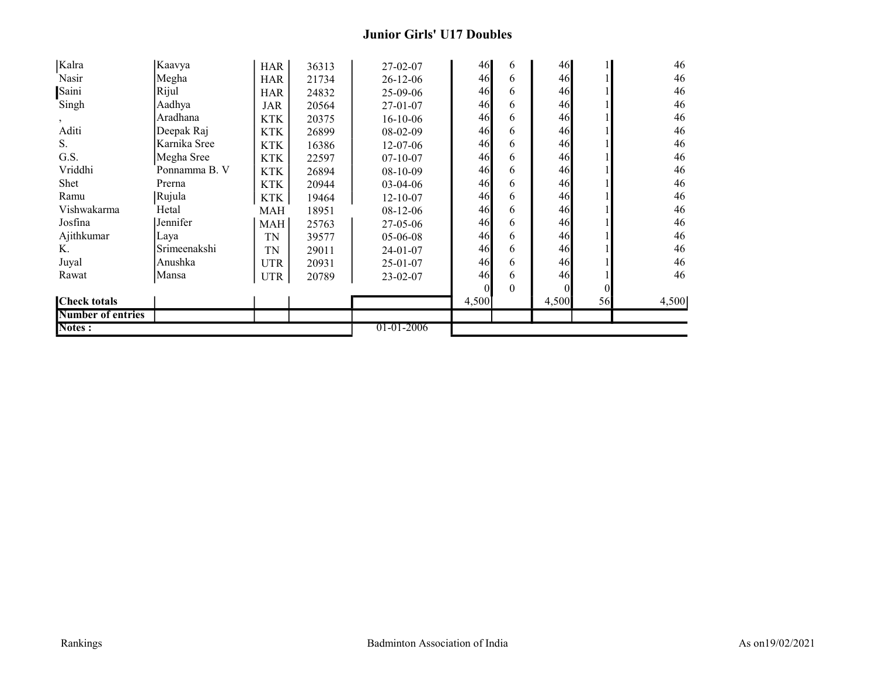## Junior Girls' U17 Doubles

| Kalra                    | Kaavya        | <b>HAR</b> | 36313 | $27 - 02 - 07$ | 46       | 6        | 46             |          | 46    |
|--------------------------|---------------|------------|-------|----------------|----------|----------|----------------|----------|-------|
| Nasir                    | Megha         | <b>HAR</b> | 21734 | $26 - 12 - 06$ | 46       | 6        | 46             |          | 46    |
| Saini                    | Rijul         | <b>HAR</b> | 24832 | $25-09-06$     | 46       | 6        | 46             |          | 46    |
| Singh                    | Aadhya        | JAR        | 20564 | $27-01-07$     | 46       | 6        | 46             |          | 46    |
| $\cdot$                  | Aradhana      | <b>KTK</b> | 20375 | $16 - 10 - 06$ | 46       | 6        | 46             |          | 46    |
| Aditi                    | Deepak Raj    | <b>KTK</b> | 26899 | $08-02-09$     | 46       | 6        | 46             |          | 46    |
| S.                       | Karnika Sree  | <b>KTK</b> | 16386 | 12-07-06       | 46       | 6        | 46             |          | 46    |
| G.S.                     | Megha Sree    | <b>KTK</b> | 22597 | $07 - 10 - 07$ | 46       | 6        | 46             |          | 46    |
| Vriddhi                  | Ponnamma B. V | <b>KTK</b> | 26894 | $08-10-09$     | 46       | 6        | 46             |          | 46    |
| Shet                     | Prerna        | <b>KTK</b> | 20944 | $03-04-06$     | 46       | 6        | 46             |          | 46    |
| Ramu                     | Rujula        | <b>KTK</b> | 19464 | $12 - 10 - 07$ | 46       | 6        | 46             |          | 46    |
| Vishwakarma              | Hetal         | MAH        | 18951 | $08-12-06$     | 46       | 6        | 46             |          | 46    |
| Josfina                  | Jennifer      | MAH        | 25763 | $27 - 05 - 06$ | 46       | 6        | 46             |          | 46    |
| Ajithkumar               | Laya          | TN         | 39577 | $05-06-08$     | 46       | 6        | 46             |          | 46    |
| Κ.                       | Srimeenakshi  | <b>TN</b>  | 29011 | $24 - 01 - 07$ | 46       | 6        | 46             |          | 46    |
| Juyal                    | Anushka       | <b>UTR</b> | 20931 | $25 - 01 - 07$ | 46       | 6        | 46             |          | 46    |
| Rawat                    | Mansa         | <b>UTR</b> | 20789 | $23 - 02 - 07$ | 46       | 6        | 46             |          | 46    |
|                          |               |            |       |                | $\theta$ | $\theta$ | $\overline{0}$ | $\Omega$ |       |
| <b>Check totals</b>      |               |            |       |                | 4,500    |          | 4,500          | 56       | 4,500 |
| <b>Number of entries</b> |               |            |       |                |          |          |                |          |       |
| <b>Notes:</b>            |               |            |       | 01-01-2006     |          |          |                |          |       |